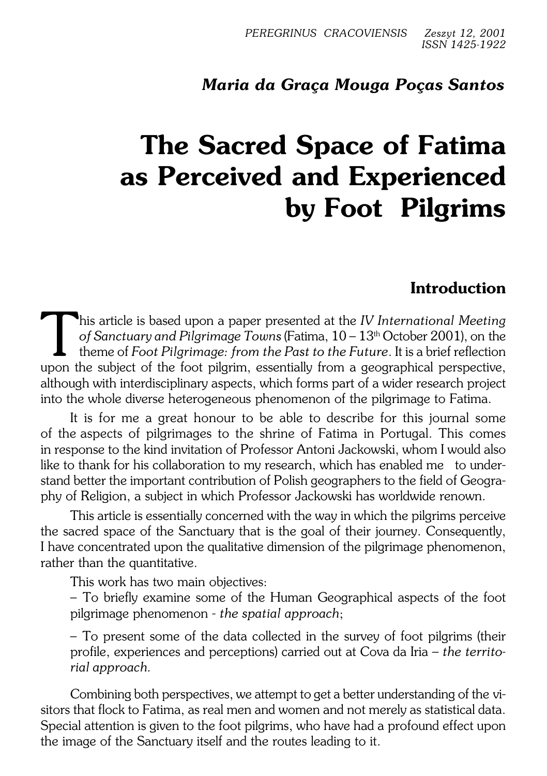# *Maria da Graça Mouga Poças Santos*

# **The Sacred Space of Fatima as Perceived and Experienced by Foot Pilgrims**

# **Introduction**

This article is based upon a paper presented at the *IV International Meeting* of Sanctuary and Pilgrimage Towns (Fatima, 10 – 13<sup>th</sup> October 2001), on the theme of *Foot Pilgrimage: from the Past to the Future*. It is a b his article is based upon a paper presented at the *IV International Meeting of Sanctuary and Pilgrimage Towns* (Fatima,  $10-13<sup>th</sup>$  October 2001), on the theme of *Foot Pilgrimage: from the Past to the Future*. It is a brief reflection although with interdisciplinary aspects, which forms part of a wider research project into the whole diverse heterogeneous phenomenon of the pilgrimage to Fatima.

It is for me a great honour to be able to describe for this journal some of theaspects of pilgrimages to the shrine of Fatima in Portugal. This comes in response to the kind invitation of Professor Antoni Jackowski, whom I would also like to thank for his collaboration to my research, which has enabled me to under− stand better the important contribution of Polish geographers to the field of Geogra− phy of Religion, a subject in which Professor Jackowski has worldwide renown.

This article is essentially concerned with the way in which the pilgrims perceive the sacred space of the Sanctuary that is the goal of their journey. Consequently, Ihave concentrated upon the qualitative dimension of the pilgrimage phenomenon, rather than the quantitative.

This work has two main objectives:

– To briefly examine some of the Human Geographical aspects of the foot pilgrimage phenomenon − *the spatial approach*;

– To present some of the data collected in the survey of foot pilgrims (their profile, experiences and perceptions) carried out at Cova da Iria – *the territo− rial approach.*

Combining both perspectives, we attempt to get a better understanding of thevi− sitors that flock to Fatima, as real men and women and not merely as statistical data. Special attention is given to the foot pilgrims, who have had a profound effect upon the image of the Sanctuary itself and the routes leading to it.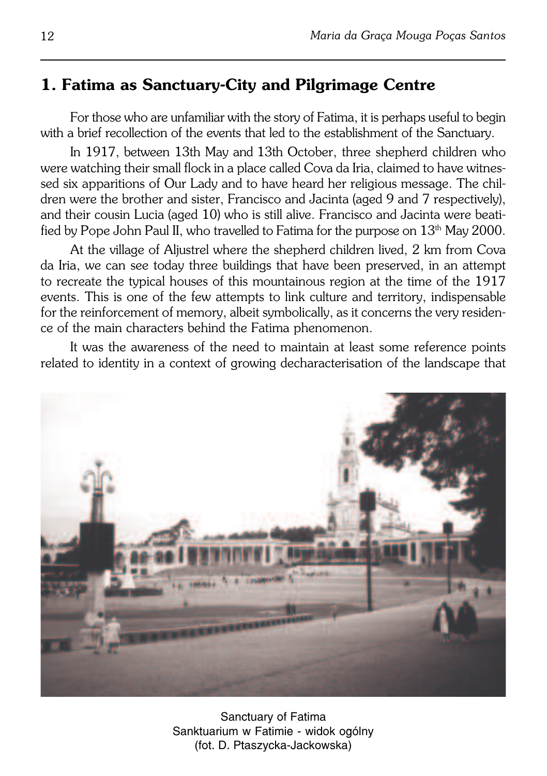### **1. Fatima as Sanctuary−City and Pilgrimage Centre**

For those who are unfamiliar with the story of Fatima, it is perhaps useful to begin with a brief recollection of the events that led to the establishment of the Sanctuary.

In 1917, between 13th May and 13th October, three shepherd children who were watching their small flock in a place called Cova da Iria, claimed to have witnes− sed six apparitions of Our Lady and to have heard her religious message. The children were the brother and sister, Francisco and Jacinta (aged 9 and 7 respectively), and their cousin Lucia (aged 10) who is still alive. Francisco and Jacinta were beati− fied by Pope John Paul II, who travelled to Fatima for the purpose on  $13<sup>th</sup>$  May 2000.

At the village of Aljustrel where the shepherd children lived, 2 km from Cova da Iria, we can see today three buildings that have been preserved, in an attempt to recreate the typical houses of this mountainous region at the time of the 1917 events. This is one of the few attempts to link culture and territory, indispensable for the reinforcement of memory, albeit symbolically, as it concerns the very residen− ce of the main characters behind the Fatima phenomenon.

It was the awareness of the need to maintain at least some reference points related to identity in a context of growing decharacterisation of the landscape that



Sanctuary of Fatima Sanktuarium w Fatimie − widok ogólny (fot. D. Ptaszycka−Jackowska)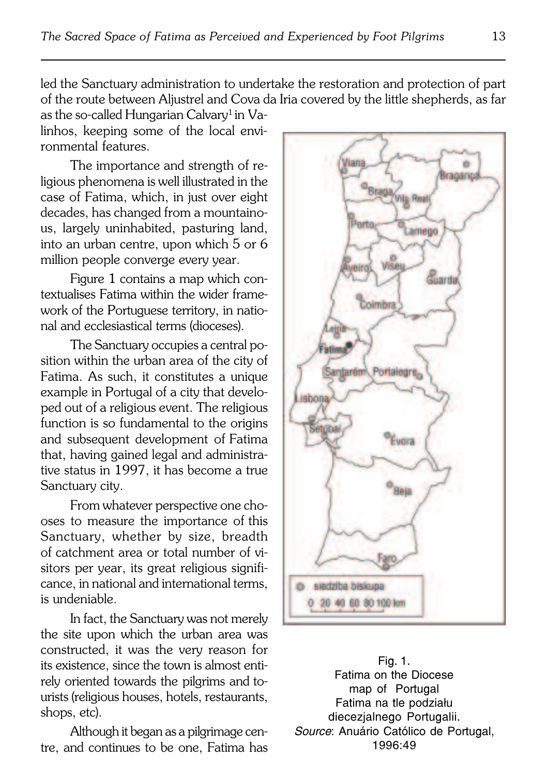led the Sanctuary administration to undertake the restoration and protection of part of the route between Aljustrel and Cova da Iria covered by the little shepherds, as far

as the so-called Hungarian Calvary<sup>1</sup> in Valinhos, keeping some of the local envi− ronmental features.

The importance and strength of re− ligious phenomena is well illustrated in the case of Fatima, which, in just over eight decades, has changed from a mountaino− us, largely uninhabited, pasturing land, into an urban centre, upon which 5 or 6 million people converge every year.

Figure 1 contains a map which con− textualises Fatima within the wider frame− work of the Portuguese territory, in natio− nal and ecclesiastical terms (dioceses).

The Sanctuary occupies a central po− sition within the urban area of the city of Fatima. As such, it constitutes a unique example in Portugal of a city that develo− ped out of a religious event. The religious function is so fundamental to the origins and subsequent development of Fatima that, having gained legal and administra− tive status in 1997, it has become a true Sanctuary city.

From whatever perspective one cho− oses to measure the importance of this Sanctuary, whether by size, breadth of catchment area or total number of visitors per year, its great religious signifi− cance, in national and international terms, is undeniable.

In fact, the Sanctuary was not merely the site upon which the urban area was constructed, it was the very reason for its existence, since the town is almost enti− rely oriented towards the pilgrims and tourists (religious houses, hotels, restaurants, shops, etc).

Although it began as a pilgrimage cen− tre, and continues to be one, Fatima has



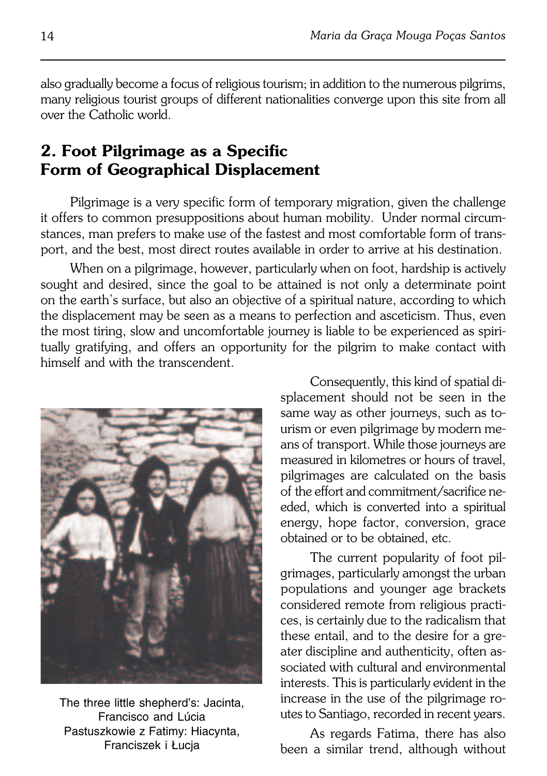also gradually become a focus of religious tourism; in addition to the numerous pilgrims, many religious tourist groups of different nationalities converge upon this site from all over the Catholic world.

# **2. Foot Pilgrimage as a Specific Form of Geographical Displacement**

Pilgrimage is a very specific form of temporary migration, given the challenge it offers to common presuppositions about human mobility. Under normal circum− stances, man prefers to make use of the fastest and most comfortable form of trans− port, and the best, most direct routes available in order to arrive at his destination.

When on a pilgrimage, however, particularly when on foot, hardship is actively sought and desired, since the goal to be attained is not only a determinate point onthe earth's surface, but also an objective of a spiritual nature, according to which the displacement may be seen as a means to perfection and asceticism. Thus, even the most tiring, slow and uncomfortable journey is liable to be experienced as spiri− tually gratifying, and offers an opportunity for the pilgrim to make contact with himself and with the transcendent.



The three little shepherd's: Jacinta, Francisco and Lúcia Pastuszkowie z Fatimy: Hiacynta, Franciszek i Łucja

Consequently, this kind of spatial di− splacement should not be seen in the same way as other journeys, such as to− urism or even pilgrimage by modern me− ans of transport. While those journeys are measured in kilometres or hours of travel, pilgrimages are calculated on the basis of the effort and commitment/sacrifice ne− eded, which is converted into a spiritual energy, hope factor, conversion, grace obtained or to be obtained, etc.

The current popularity of foot pil− grimages, particularly amongst the urban populations and younger age brackets considered remote from religious practi− ces, is certainly due to the radicalism that these entail, and to the desire for a gre− ater discipline and authenticity, often as− sociated with cultural and environmental interests. This is particularly evident in the increase in the use of the pilgrimage ro− utes to Santiago, recorded in recent years.

As regards Fatima, there has also been a similar trend, although without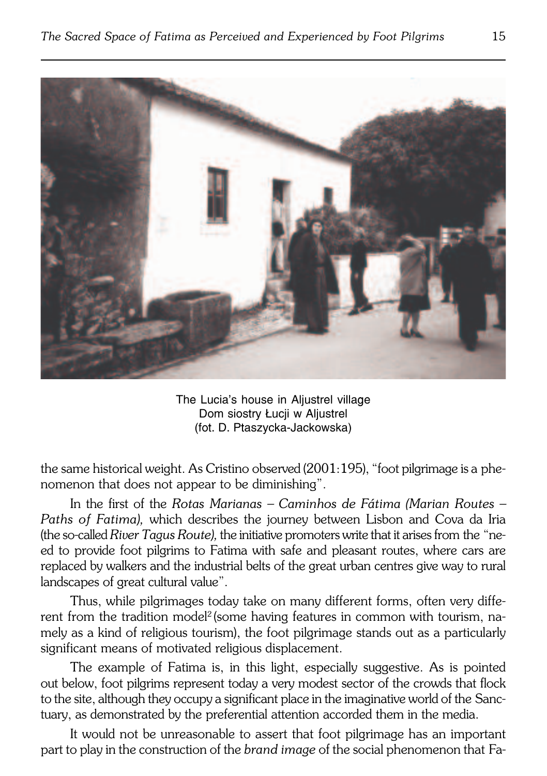

The Lucia's house in Aljustrel village Dom siostry Łucii w Aliustrel (fot. D. Ptaszycka−Jackowska)

the same historical weight. As Cristino observed (2001:195), "foot pilgrimage is a phenomenon that does not appear to be diminishing".

In the first of the *Rotas Marianas – Caminhos de Fátima (Marian Routes – Paths of Fatima),* which describes the journey between Lisbon and Cova da Iria (the so−called *River Tagus Route),* the initiative promoters write that it arises fromthe"ne− ed to provide foot pilgrims to Fatima with safe and pleasant routes, where cars are replaced by walkers and the industrial belts of the great urban centres give way to rural landscapes of great cultural value".

Thus, while pilgrimages today take on many different forms, often very diffe− rent from the tradition model<sup>2</sup>(some having features in common with tourism, namely as a kind of religious tourism), the foot pilgrimage stands out as a particularly significant means of motivated religious displacement.

The example of Fatima is, in this light, especially suggestive. As is pointed out below, foot pilgrims represent today a very modest sector of the crowds that flock to the site, although they occupy a significant place in the imaginative world of the Sanc− tuary, as demonstrated by the preferential attention accorded them in the media.

It would not be unreasonable to assert that foot pilgrimage has an important part to play in the construction of the *brand image* of the social phenomenon that Fa−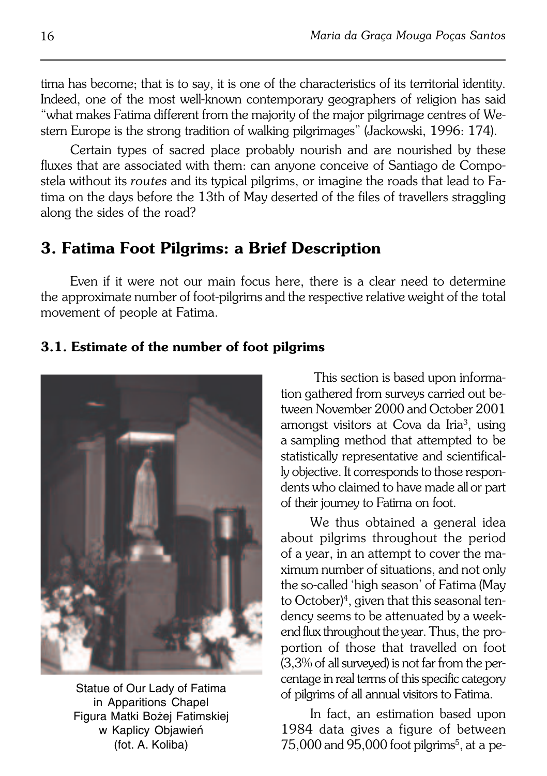tima has become; that is to say, it is one of the characteristics of its territorial identity. Indeed, one of the most well−known contemporary geographers of religion has said "what makes Fatima different from the majority of the major pilgrimage centres ofWe− stern Europe is the strong tradition of walking pilgrimages" (Jackowski, 1996: 174).

Certain types of sacred place probably nourish and are nourished by these fluxes that are associated with them: can anyone conceive of Santiago de Compo− stela without its *routes* and its typical pilgrims, or imagine the roads that lead to Fa− tima on the days before the 13th of May deserted of the files of travellers straggling along the sides of the road?

## **3. Fatima Foot Pilgrims: a Brief Description**

Even if it were not our main focus here, there is a clear need to determine the approximate number of foot-pilgrims and the respective relative weight of the total movement of people at Fatima.

### **3.1. Estimate of the number of foot pilgrims**



Statue of Our Lady of Fatima in Apparitions Chapel Figura Matki Bożej Fatimskiej w Kaplicy Objawień (fot. A. Koliba)

 This section is based upon informa− tion gathered from surveys carried out between November 2000 and October 2001 amongst visitors at Cova da Iria<sup>3</sup>, using asampling method that attempted to be statistically representative and scientifical− ly objective. It corresponds to those respon− dents who claimed to have made all or part of their journey to Fatima on foot.

We thus obtained a general idea about pilgrims throughout the period of a year, in an attempt to cover the ma− ximum number of situations, and not only the so−called 'high season' of Fatima (May to October)<sup>4</sup>, given that this seasonal ten− dency seems to be attenuated by a week− end flux throughout the year. Thus, the pro− portion of those that travelled on foot (3,3% of all surveyed) is not far from the percentage in real terms of this specific category of pilgrims of all annual visitors to Fatima.

In fact, an estimation based upon 1984 data gives a figure of between  $75,000$  and  $95,000$  foot pilgrims<sup>5</sup>, at a pe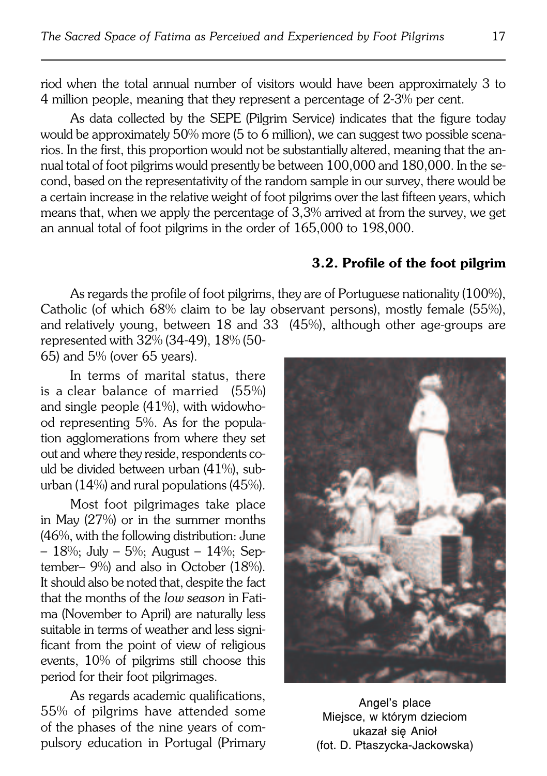riod when the total annual number of visitors would have been approximately 3 to 4million people, meaning that they represent a percentage of 2−3% per cent.

As data collected by the SEPE (Pilgrim Service) indicates that the figure today would be approximately 50% more (5 to 6 million), we can suggest two possible scena− rios. In the first, this proportion would not be substantially altered, meaning that the annual total of foot pilgrims would presently be between 100,000 and 180,000. In the second, based on the representativity of the random sample in our survey, there would be a certain increase in the relative weight of foot pilgrims over the last fifteen years, which means that, when we apply the percentage of 3,3% arrived at from the survey, we get an annual total of foot pilgrims in the order of 165,000 to 198,000.

#### **3.2. Profile of the foot pilgrim**

As regards the profile of foot pilgrims, they are of Portuguese nationality (100%), Catholic (of which 68% claim to be lay observant persons), mostly female (55%), and relatively young, between  $18$  and  $33$  (45%), although other age-groups are represented with 32% (34−49), 18% (50−

65) and 5% (over 65 years).

In terms of marital status, there is aclear balance of married (55%) and single people  $(41%)$ , with widowhood representing 5%. As for the popula− tion agglomerations from where they set out andwhere they reside, respondents co− uld be divided between urban (41%), sub− urban (14%) and rural populations (45%).

Most foot pilgrimages take place in May (27%) or in the summer months (46%, with the following distribution: June – 18%; July – 5%; August – 14%; Sep− tember– 9%) and also in October (18%). It should also be noted that, despite the fact that the months of the *low season* in Fati− ma (November to April) are naturally less suitable in terms of weather and less signi− ficant from the point of view of religious events, 10% of pilgrims still choose this period for their foot pilgrimages.

As regards academic qualifications, 55% of pilgrims have attended some of the phases of the nine years of com− pulsory education in Portugal (Primary



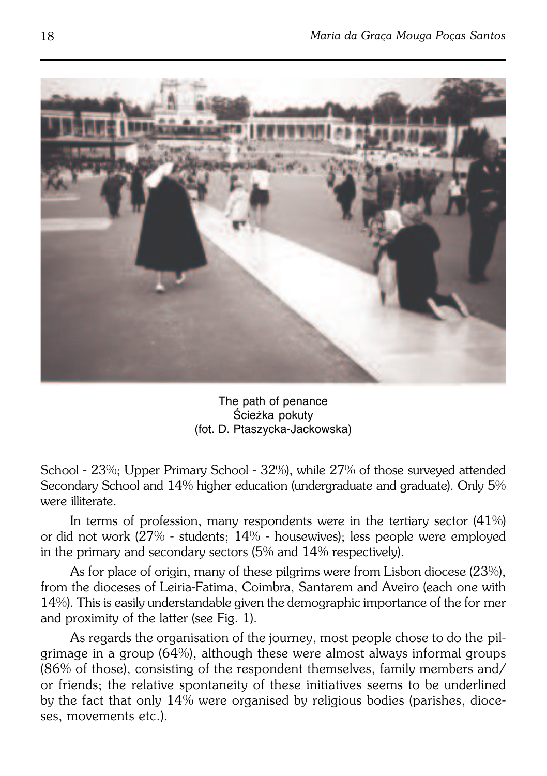

The path of penance Ścieżka pokuty (fot. D. Ptaszycka−Jackowska)

School − 23%; Upper Primary School − 32%), while 27% of those surveyed attended Secondary School and 14% higher education (undergraduate and graduate). Only 5% were illiterate.

In terms of profession, many respondents were in the tertiary sector (41%) ordid not work (27% − students; 14% − housewives); less people were employed in the primary and secondary sectors  $(5\%$  and  $14\%$  respectively).

As for place of origin, many of these pilgrims were from Lisbon diocese (23%), from the dioceses of Leiria−Fatima, Coimbra, Santarem and Aveiro (each one with 14%). This is easily understandable given the demographic importance of the former and proximity of the latter (see Fig. 1).

As regards the organisation of the journey, most people chose to do the pil− grimage in a group (64%), although these were almost always informal groups (86% of those), consisting of the respondent themselves, family members and/ or friends; the relative spontaneity of these initiatives seems to be underlined bythe fact that only 14% were organised by religious bodies (parishes, dioce− ses, movements etc.).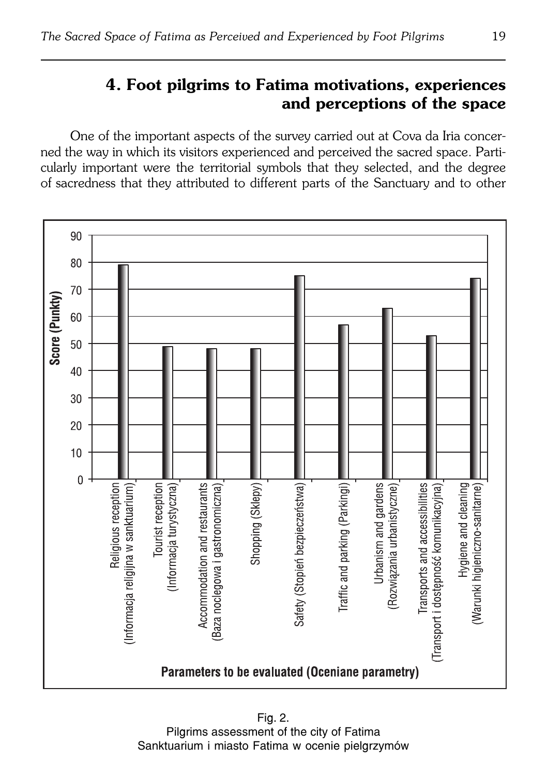# **4. Foot pilgrims to Fatima motivations, experiences and perceptions of the space**

One of the important aspects of the survey carried out at Cova da Iria concer− ned the way in which its visitors experienced and perceived the sacred space. Parti− cularly important were the territorial symbols that they selected, and the degree of sacredness that they attributed to different parts of the Sanctuary and to other



Fig. 2. Pilgrims assessment of the city of Fatima Sanktuarium i miasto Fatima w ocenie pielgrzymów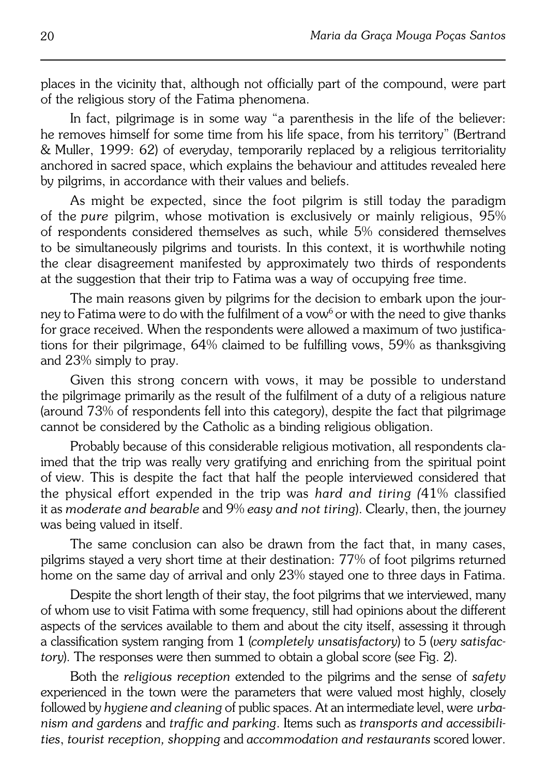places in the vicinity that, although not officially part of the compound, were part of the religious story of the Fatima phenomena.

In fact, pilgrimage is in some way "a parenthesis in the life of the believer: he removes himself for some time from his life space, from his territory" (Bertrand &Muller, 1999: 62) of everyday, temporarily replaced by a religious territoriality anchored in sacred space, which explains the behaviour and attitudes revealed here by pilgrims, in accordance with their values and beliefs.

As might be expected, since the foot pilgrim is still today the paradigm of the*pure* pilgrim, whose motivation is exclusively or mainly religious, 95% of respondents considered themselves as such, while 5% considered themselves to be simultaneously pilgrims and tourists. In this context, it is worthwhile noting the clear disagreement manifested by approximately two thirds of respondents at the suggestion that their trip to Fatima was a way of occupying free time.

The main reasons given by pilgrims for the decision to embark upon the jour− ney to Fatima were to do with the fulfilment of a vow<sup>6</sup> or with the need to give thanks for grace received. When the respondents were allowed a maximum of two justifica− tions for their pilgrimage, 64% claimed to be fulfilling vows, 59% as thanksgiving and 23% simply to pray.

Given this strong concern with vows, it may be possible to understand the pilgrimage primarily as the result of the fulfilment of a duty of a religious nature (around 73% of respondents fell into this category), despite the fact that pilgrimage cannot be considered by the Catholic as a binding religious obligation.

Probably because of this considerable religious motivation, all respondents cla− imed that the trip was really very gratifying and enriching from the spiritual point ofview. This is despite the fact that half the people interviewed considered that the physical effort expended in the trip was *hard and tiring (*41% classified it as *moderate and bearable* and 9% *easy and not tiring*). Clearly, then, the journey was being valued in itself.

The same conclusion can also be drawn from the fact that, in many cases, pilgrims stayed a very short time at their destination: 77% of foot pilgrims returned home on the same day of arrival and only 23% stayed one to three days in Fatima.

Despite the short length of their stay, the foot pilgrims that we interviewed, many of whom use to visit Fatima with some frequency, still had opinions about the different aspects of the services available to them and about the city itself, assessing it through aclassification system ranging from 1 (*completely unsatisfactory*) to 5 (*very satisfac− tory*). The responses were then summed to obtain a global score (see Fig. 2).

Both the *religious reception* extended to the pilgrims and the sense of *safety* experienced in the town were the parameters that were valued most highly, closely followed by *hygiene and cleaning* of public spaces. At an intermediate level, were*urba− nism and gardens* and *traffic and parking*. Items such as *transports and accessibili− ties*, *tourist reception, shopping* and *accommodation and restaurants* scored lower.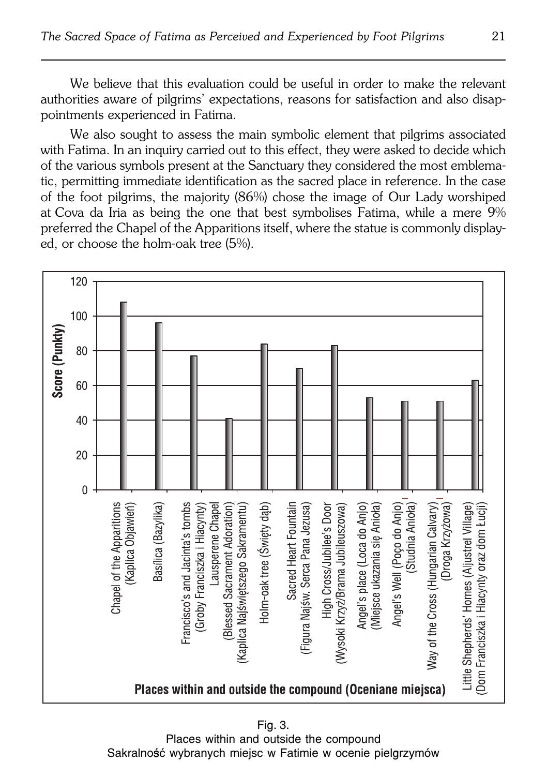We believe that this evaluation could be useful in order to make the relevant authorities aware of pilgrims' expectations, reasons for satisfaction and also disap− pointments experienced in Fatima.

We also sought to assess the main symbolic element that pilgrims associated with Fatima. In an inquiry carried out to this effect, they were asked to decide which of the various symbols present at the Sanctuary they considered the most emblema− tic, permitting immediate identification as the sacred place in reference. In the case of the foot pilgrims, the majority (86%) chose the image of Our Lady worshiped atCova da Iria as being the one that best symbolises Fatima, while a mere 9% preferred the Chapel of the Apparitions itself, where the statue is commonly display− ed, or choose the holm−oak tree (5%).



Fig. 3. Places within and outside the compound Sakralność wybranych miejsc w Fatimie w ocenie pielgrzymów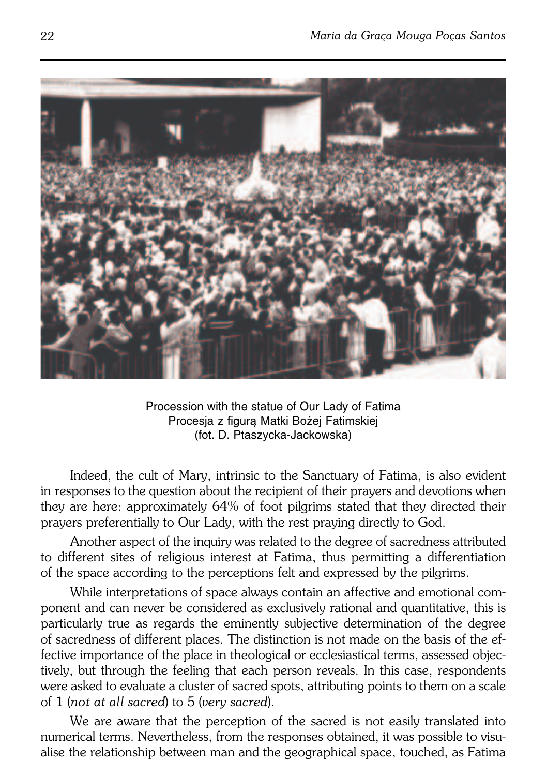

Procession with the statue of Our Lady of Fatima Procesja z figurą Matki Bożej Fatimskiej (fot. D. Ptaszycka−Jackowska)

Indeed, the cult of Mary, intrinsic to the Sanctuary of Fatima, is also evident in responses to the question about the recipient of their prayers and devotions when they are here: approximately 64% of foot pilgrims stated that they directed their prayers preferentially to Our Lady, with the rest praying directly to God.

Another aspect of the inquiry was related to the degree of sacredness attributed to different sites of religious interest at Fatima, thus permitting a differentiation of the space according to the perceptions felt and expressed by the pilgrims.

While interpretations of space always contain an affective and emotional com− ponent and can never be considered as exclusively rational and quantitative, this is particularly true as regards the eminently subjective determination of the degree of sacredness of different places. The distinction is not made on the basis of the effective importance of the place in theological or ecclesiastical terms, assessed objec− tively, but through the feeling that each person reveals. In this case, respondents were asked to evaluate a cluster of sacred spots, attributing points to them on a scale of 1 (*not at all sacred*) to 5 (*very sacred*).

We are aware that the perception of the sacred is not easily translated into numerical terms. Nevertheless, from the responses obtained, it was possible to visu− alise the relationship between man and the geographical space, touched, as Fatima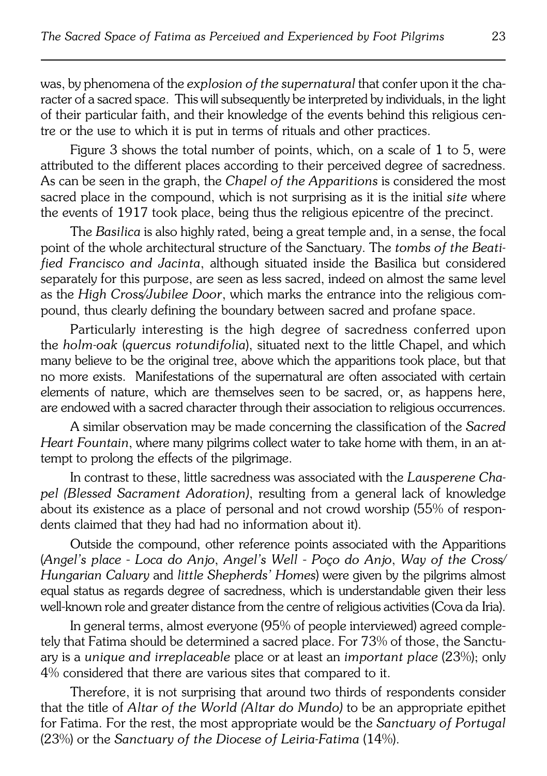was, by phenomena of the *explosion of the supernatural* that confer upon it thecha− racter of a sacred space. This will subsequently be interpreted by individuals, in the light of their particular faith, and their knowledge of the events behind this religious cen− tre or the use to which it is put in terms of rituals and other practices.

Figure 3 shows the total number of points, which, on a scale of 1 to 5, were attributed to the different places according to their perceived degree of sacredness. As can be seen in the graph, the *Chapel of the Apparitions* is considered the most sacred place in the compound, which is not surprising as it is the initial *site* where the events of 1917 took place, being thus the religious epicentre of the precinct.

The *Basilica* is also highly rated, being a great temple and, in a sense, the focal point of the whole architectural structure of the Sanctuary. The *tombs of the Beati− fied Francisco and Jacinta*, although situated inside the Basilica but considered separately for this purpose, are seen as less sacred, indeed on almost the same level as the *High Cross/Jubilee Door*, which marks the entrance into the religious com− pound, thus clearly defining the boundary between sacred and profane space.

Particularly interesting is the high degree of sacredness conferred upon the *holm−oak* (*quercus rotundifolia*), situated next to the little Chapel, and which many believe to be the original tree, above which the apparitions took place, but that no more exists. Manifestations of the supernatural are often associated with certain elements of nature, which are themselves seen to be sacred, or, as happens here, are endowed with a sacred character through their association to religious occurrences.

A similar observation may be made concerning the classification of the *Sacred Heart Fountain*, where many pilgrims collect water to take home with them, in anat− tempt to prolong the effects of the pilgrimage.

In contrast to these, little sacredness was associated with the *Lausperene Cha− pel (Blessed Sacrament Adoration)*, resulting from a general lack of knowledge about its existence as a place of personal and not crowd worship (55% of respon− dents claimed that they had had no information about it).

Outside the compound, other reference points associated with the Apparitions (*Angel's place* − *Loca do Anjo*, *Angel's Well* − *Poço do Anjo*, *Way of the Cross/ Hungarian Calvary* and *little Shepherds' Homes*) were given by the pilgrims almost equal status as regards degree of sacredness, which is understandable given their less well-known role and greater distance from the centre of religious activities (Cova da Iria).

In general terms, almost everyone (95% of people interviewed) agreed comple− tely that Fatima should be determined a sacred place. For 73% of those, the Sanctu− ary is a *unique and irreplaceable* place or at least an *important place* (23%); only 4% considered that there are various sites that compared to it.

Therefore, it is not surprising that around two thirds of respondents consider that the title of *Altar of the World (Altar do Mundo)* to be an appropriate epithet for Fatima. For the rest, the most appropriate would be the *Sanctuary of Portugal* (23%) or the *Sanctuary of the Diocese of Leiria−Fatima* (14%).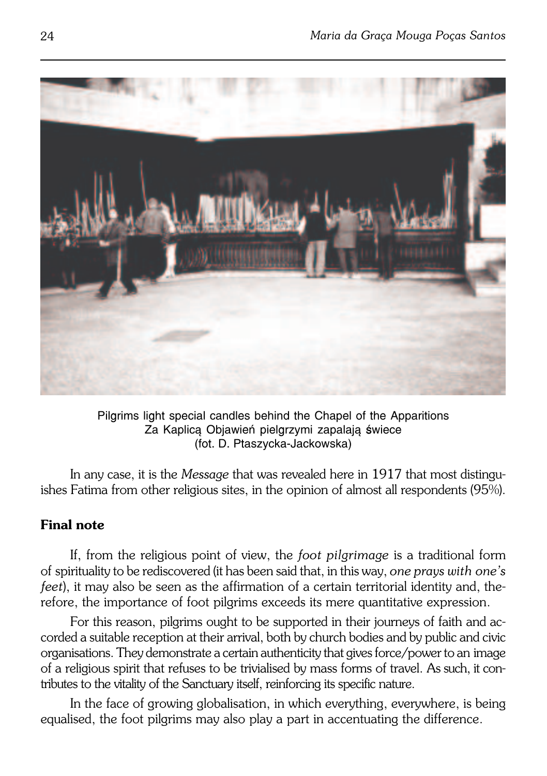

Pilgrims light special candles behind the Chapel of the Apparitions Za Kaplicą Objawień pielgrzymi zapalają świece (fot. D. Ptaszycka−Jackowska)

In any case, it is the *Message* that was revealed here in 1917 that most distingu− ishes Fatima from other religious sites, in the opinion of almost all respondents (95%).

### **Final note**

If, from the religious point of view, the *foot pilgrimage* is a traditional form ofspirituality to be rediscovered (it has been said that, in this way, *one prays withone's feet*), it may also be seen as the affirmation of a certain territorial identity and, the– refore, the importance of foot pilgrims exceeds its mere quantitative expression.

For this reason, pilgrims ought to be supported in their journeys of faith andac− corded a suitable reception at their arrival, both by church bodies and by public and civic organisations. They demonstrate a certain authenticity that gives force/power to animage of a religious spirit that refuses to be trivialised by mass forms of travel. As such, it contributes to the vitality of the Sanctuary itself, reinforcing its specific nature.

In the face of growing globalisation, in which everything, everywhere, is being equalised, the foot pilgrims may also play a part in accentuating the difference.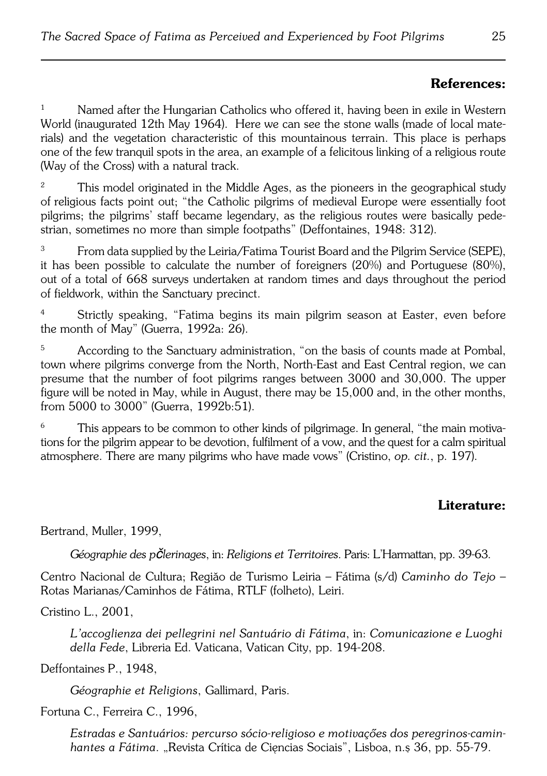### **References:**

<sup>1</sup> Named after the Hungarian Catholics who offered it, having been in exile in Western World (inaugurated 12th May 1964). Here we can see the stone walls (made of local mate− rials) and the vegetation characteristic of this mountainous terrain. This place is perhaps one of the few tranquil spots in the area, an example of a felicitous linking of a religious route (Way of the Cross) with a natural track.

<sup>2</sup> This model originated in the Middle Ages, as the pioneers in the geographical study ofreligious facts point out; "the Catholic pilgrims of medieval Europe were essentially foot pilgrims; the pilgrims' staff became legendary, as the religious routes were basically pede− strian, sometimes no more than simple footpaths" (Deffontaines, 1948: 312).

<sup>3</sup> From data supplied by the Leiria/Fatima Tourist Board and the Pilgrim Service (SEPE), it has been possible to calculate the number of foreigners (20%) and Portuguese (80%), out of a total of 668 surveys undertaken at random times and days throughout the period of fieldwork, within the Sanctuary precinct.

<sup>4</sup> Strictly speaking, "Fatima begins its main pilgrim season at Easter, even before the month of May" (Guerra, 1992a: 26).

<sup>5</sup> According to the Sanctuary administration, "on the basis of counts made at Pombal, town where pilgrims converge from the North, North−East and East Central region, we can presume that the number of foot pilgrims ranges between 3000 and 30,000. The upper figure will be noted in May, while in August, there may be 15,000 and, in the other months, from 5000 to 3000" (Guerra, 1992b:51).

This appears to be common to other kinds of pilgrimage. In general, "the main motivations for the pilgrim appear to be devotion, fulfilment of a vow, and the quest for a calm spiritual atmosphere. There are many pilgrims who have made vows" (Cristino, *op. cit.*, p. 197).

### **Literature:**

Bertrand, Muller, 1999,

*Géographie des pčlerinages*, in: *Religions et Territoires*. Paris: L'Harmattan, pp. 39−63.

Centro Nacional de Cultura; Regiăo de Turismo Leiria – Fátima (s/d) *Caminho do Tejo* – Rotas Marianas/Caminhos de Fátima, RTLF (folheto), Leiri.

Cristino L., 2001,

*L'accoglienza dei pellegrini nel Santuário di Fátima*, in: *Comunicazione e Luoghi della Fede*, Libreria Ed. Vaticana, Vatican City, pp. 194−208.

Deffontaines P., 1948,

*Géographie et Religions*, Gallimard, Paris.

Fortuna C., Ferreira C., 1996,

*Estradas e Santuários: percurso sócio−religioso e motivaçőes dos peregrinos−camin− hantes a Fátima*. "Revista Crítica de Cięncias Sociais", Lisboa, n.ş 36, pp. 55−79.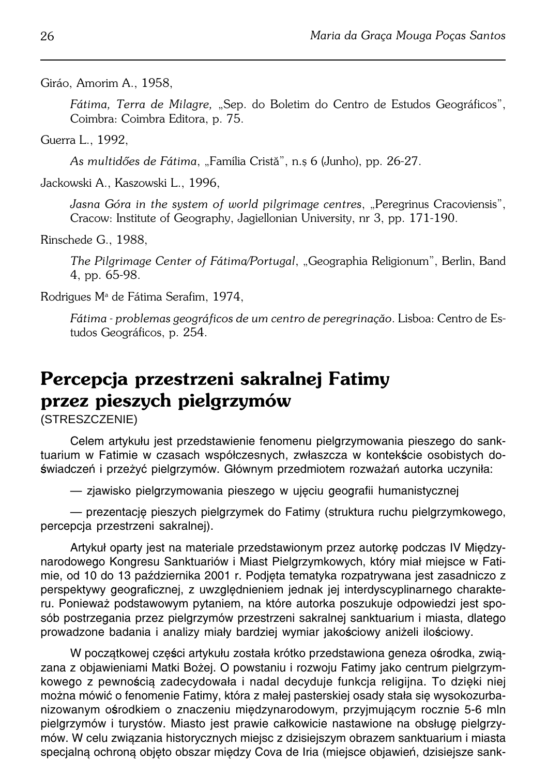Giráo, Amorim A., 1958,

*Fátima, Terra de Milagre,* "Sep. do Boletim do Centro de Estudos Geográficos", Coimbra: Coimbra Editora, p. 75.

Guerra L., 1992,

*As multidőes de Fátima*, "Família Cristă", n.ş 6 (Junho), pp. 26−27.

Jackowski A., Kaszowski L., 1996,

Jasna Góra in the system of world pilgrimage centres, "Peregrinus Cracoviensis", Cracow: Institute of Geography, Jagiellonian University, nr 3, pp. 171−190.

Rinschede G., 1988,

*The Pilgrimage Center of Fátima/Portugal*, "Geographia Religionum", Berlin, Band 4, pp. 65−98.

Rodrigues Mª de Fátima Serafim, 1974,

*Fátima − problemas geográficos de um centro de peregrinaçăo*. Lisboa: Centro deEs− tudos Geográficos, p. 254.

# **Percepcja przestrzeni sakralnej Fatimy przez pieszych pielgrzymów**

(STRESZCZENIE)

Celem artykułu jest przedstawienie fenomenu pielgrzymowania pieszego do sank− tuarium w Fatimie w czasach współczesnych, zwłaszcza w kontekście osobistych do− świadczeń i przeżyć pielgrzymów. Głównym przedmiotem rozważań autorka uczyniła:

— zjawisko pielgrzymowania pieszego w ujęciu geografii humanistycznej

— prezentację pieszych pielgrzymek do Fatimy (struktura ruchu pielgrzymkowego, percepcja przestrzeni sakralnej).

Artykuł oparty jest na materiale przedstawionym przez autorkę podczas IV Między− narodowego Kongresu Sanktuariów i Miast Pielgrzymkowych, który miał miejsce w Fati− mie, od 10 do 13 października 2001 r. Podjęta tematyka rozpatrywana jest zasadniczo z perspektywy geograficznej, z uwzględnieniem jednak jej interdyscyplinarnego charakte− ru. Ponieważ podstawowym pytaniem, na które autorka poszukuje odpowiedzi jest spo− sób postrzegania przez pielgrzymów przestrzeni sakralnej sanktuarium i miasta, dlatego prowadzone badania i analizy miały bardziej wymiar jakościowy aniżeli ilościowy.

W początkowej części artykułu została krótko przedstawiona geneza ośrodka, zwią− zana z objawieniami Matki Bożej. O powstaniu i rozwoju Fatimy jako centrum pielgrzym− kowego z pewnością zadecydowała i nadal decyduje funkcja religijna. To dzięki niej można mówić o fenomenie Fatimy, która z małej pasterskiej osady stała się wysokozurba− nizowanym ośrodkiem o znaczeniu międzynarodowym, przyjmującym rocznie 5−6 mln pielgrzymów i turystów. Miasto jest prawie całkowicie nastawione na obsługę pielgrzy− mów. W celu związania historycznych miejsc z dzisiejszym obrazem sanktuarium i miasta specjalną ochroną objęto obszar między Cova de Iria (miejsce objawień, dzisiejsze sank−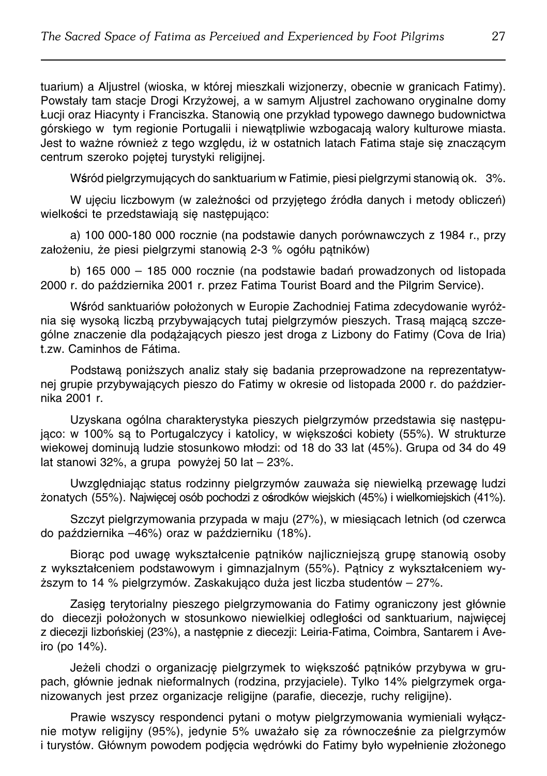tuarium) a Aljustrel (wioska, w której mieszkali wizjonerzy, obecnie w granicach Fatimy). Powstały tam stacje Drogi Krzyżowej, a w samym Aljustrel zachowano oryginalne domy Łucji oraz Hiacynty i Franciszka. Stanowią one przykład typowego dawnego budownictwa górskiego wtym regionie Portugalii i niewątpliwie wzbogacają walory kulturowe miasta. Jest to ważne również z tego względu, iż w ostatnich latach Fatima staje się znaczącym centrum szeroko pojętej turystyki religijnej.

Wśród pielgrzymujących do sanktuarium w Fatimie, piesi pielgrzymi stanowią ok. 3%.

W ujęciu liczbowym (w zależności od przyjętego źródła danych i metody obliczeń) wielkości te przedstawiają się następująco:

a) 100 000−180 000 rocznie (na podstawie danych porównawczych z 1984 r., przy założeniu, że piesi pielgrzymi stanowią 2−3 % ogółu pątników)

b) 165 000 – 185 000 rocznie (na podstawie badań prowadzonych od listopada 2000 r. do października 2001 r. przez Fatima Tourist Board and the Pilgrim Service).

Wśród sanktuariów położonych w Europie Zachodniej Fatima zdecydowanie wyróż− nia się wysoką liczbą przybywających tutaj pielgrzymów pieszych. Trasą mającą szcze− gólne znaczenie dla podążających pieszo jest droga z Lizbony do Fatimy (Cova de Iria) t.zw. Caminhos de Fátima.

Podstawą poniższych analiz stały się badania przeprowadzone na reprezentatyw− nej grupie przybywających pieszo do Fatimy w okresie od listopada 2000 r. do paździer− nika 2001 r.

Uzyskana ogólna charakterystyka pieszych pielgrzymów przedstawia się następu− jąco: w 100% są to Portugalczycy i katolicy, w większości kobiety (55%). W strukturze wiekowej dominują ludzie stosunkowo młodzi: od 18 do 33 lat (45%). Grupa od 34 do 49 lat stanowi 32%, a grupa powyżej 50 lat – 23%.

Uwzględniając status rodzinny pielgrzymów zauważa się niewielką przewagę ludzi żonatych (55%). Najwięcej osób pochodzi z ośrodków wiejskich (45%) i wielkomiejskich (41%).

Szczyt pielgrzymowania przypada w maju (27%), w miesiącach letnich (od czerwca do października –46%) oraz w październiku (18%).

Biorąc pod uwagę wykształcenie pątników najliczniejszą grupę stanowią osoby z wykształceniem podstawowym i gimnazjalnym (55%). Pątnicy z wykształceniem wy− ższym to 14 % pielgrzymów. Zaskakująco duża jest liczba studentów – 27%.

Zasięg terytorialny pieszego pielgrzymowania do Fatimy ograniczony jest głównie do diecezji położonych w stosunkowo niewielkiej odległości od sanktuarium, najwięcej z diecezji lizbońskiej (23%), a następnie z diecezji: Leiria−Fatima, Coimbra, Santarem i Ave− iro (po 14%).

Jeżeli chodzi o organizację pielgrzymek to większość pątników przybywa w gru− pach, głównie jednak nieformalnych (rodzina, przyjaciele). Tylko 14% pielgrzymek orga− nizowanych jest przez organizacje religijne (parafie, diecezje, ruchy religijne).

Prawie wszyscy respondenci pytani o motyw pielgrzymowania wymieniali wyłącz− nie motyw religijny (95%), jedynie 5% uważało się za równocześnie za pielgrzymów i turystów. Głównym powodem podjęcia wędrówki do Fatimy było wypełnienie złożonego